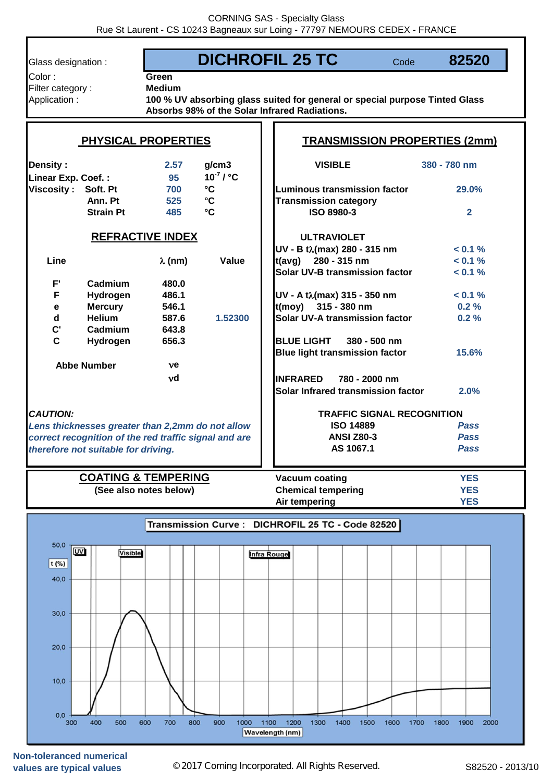| Glass designation :                                                                                                                                                 |                                                          |                                                 | <b>DICHROFIL 25 TC</b>                                                                                                               | Code          | 82520                                  |  |  |
|---------------------------------------------------------------------------------------------------------------------------------------------------------------------|----------------------------------------------------------|-------------------------------------------------|--------------------------------------------------------------------------------------------------------------------------------------|---------------|----------------------------------------|--|--|
| Color:<br>Filter category:<br>Application:                                                                                                                          | Green<br><b>Medium</b>                                   |                                                 | 100 % UV absorbing glass suited for general or special purpose Tinted Glass<br>Absorbs 98% of the Solar Infrared Radiations.         |               |                                        |  |  |
|                                                                                                                                                                     | <b>PHYSICAL PROPERTIES</b>                               |                                                 |                                                                                                                                      |               | <b>TRANSMISSION PROPERTIES (2mm)</b>   |  |  |
| <b>Density:</b><br>Linear Exp. Coef.:                                                                                                                               | 2.57<br>95                                               | g/cm3<br>$10^7 / C$                             | <b>VISIBLE</b>                                                                                                                       |               | 380 - 780 nm                           |  |  |
| Viscosity: Soft. Pt<br>Ann. Pt<br><b>Strain Pt</b>                                                                                                                  | 700<br>525<br>485                                        | $\mathbf{C}$<br>$\mathbf{C}$<br>$\rm ^{\circ}C$ | <b>Luminous transmission factor</b><br><b>Transmission category</b><br><b>ISO 8980-3</b>                                             |               | 29.0%<br>$\overline{2}$                |  |  |
|                                                                                                                                                                     | <b>REFRACTIVE INDEX</b>                                  |                                                 | <b>ULTRAVIOLET</b>                                                                                                                   |               |                                        |  |  |
| Line                                                                                                                                                                | $\lambda$ (nm)                                           | Value                                           | UV - B tλ(max) 280 - 315 nm<br>$t(avg)$ 280 - 315 nm<br>Solar UV-B transmission factor                                               |               | $< 0.1 \%$<br>$< 0.1 \%$<br>$< 0.1 \%$ |  |  |
| $F^{\prime}$<br>Cadmium<br>F<br>Hydrogen<br><b>Mercury</b><br>$\mathbf e$<br>$\mathbf d$<br><b>Helium</b><br>$\mathbf{C}^\bullet$<br>Cadmium                        | 480.0<br>486.1<br>546.1<br>587.6<br>643.8                | 1.52300                                         | UV - A tλ(max) 315 - 350 nm<br>t(moy) 315 - 380 nm<br>Solar UV-A transmission factor                                                 |               | $< 0.1 \%$<br>0.2%<br>0.2%             |  |  |
| $\mathbf{C}$<br>Hydrogen<br><b>Abbe Number</b>                                                                                                                      | 656.3<br>ve                                              |                                                 | <b>BLUE LIGHT</b><br><b>Blue light transmission factor</b>                                                                           | 380 - 500 nm  | 15.6%                                  |  |  |
|                                                                                                                                                                     | νd                                                       |                                                 | <b>INFRARED</b><br>Solar Infrared transmission factor                                                                                | 780 - 2000 nm | 2.0%                                   |  |  |
| <b>CAUTION:</b><br>Lens thicknesses greater than 2,2mm do not allow<br>correct recognition of the red traffic signal and are<br>therefore not suitable for driving. |                                                          |                                                 | <b>TRAFFIC SIGNAL RECOGNITION</b><br><b>ISO 14889</b><br><b>Pass</b><br><b>ANSI Z80-3</b><br><b>Pass</b><br>AS 1067.1<br><b>Pass</b> |               |                                        |  |  |
|                                                                                                                                                                     | <b>COATING &amp; TEMPERING</b><br>(See also notes below) |                                                 | <b>Vacuum coating</b><br><b>Chemical tempering</b><br>Air tempering                                                                  |               | <b>YES</b><br><b>YES</b><br><b>YES</b> |  |  |
|                                                                                                                                                                     |                                                          |                                                 | Transmission Curve : DICHROFIL 25 TC - Code 82520                                                                                    |               |                                        |  |  |
| 50,0<br><b>UV</b><br><b>Visible</b><br>$t$ (%)<br>40,0                                                                                                              |                                                          |                                                 | <b>Infra Rouge</b>                                                                                                                   |               |                                        |  |  |
| 30,0                                                                                                                                                                |                                                          |                                                 |                                                                                                                                      |               |                                        |  |  |
| 20,0                                                                                                                                                                |                                                          |                                                 |                                                                                                                                      |               |                                        |  |  |
| 10,0                                                                                                                                                                |                                                          |                                                 |                                                                                                                                      |               |                                        |  |  |
| 0,0<br>300<br>400<br>500                                                                                                                                            | 600<br>700<br>800                                        | 900<br>1000                                     | 1100<br>1200<br>1300<br>1400<br>1500<br><b>Wavelength (nm)</b>                                                                       | 1600<br>1700  | 1800<br>1900<br>2000                   |  |  |

**Non-toleranced numerical**